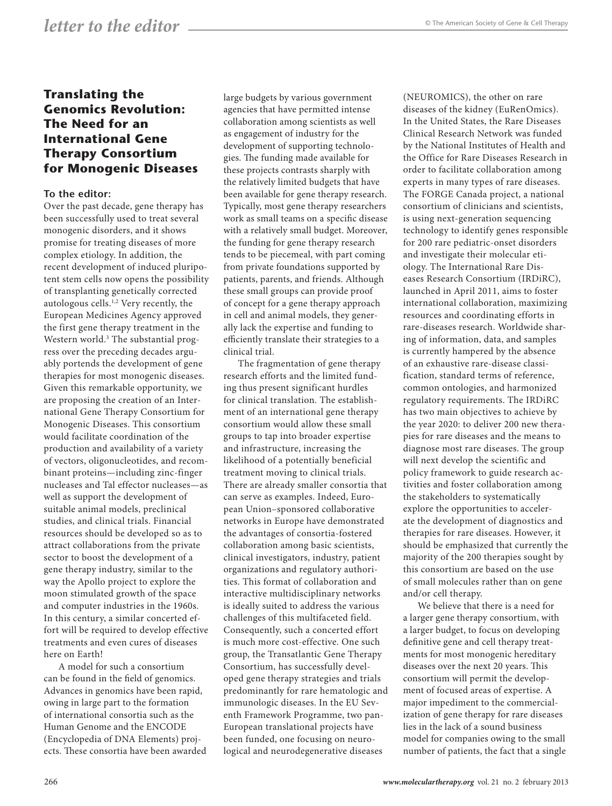## **Translating the Genomics Revolution: The Need for an International Gene Therapy Consortium for Monogenic Diseases**

## **To the editor:**

Over the past decade, gene therapy has been successfully used to treat several monogenic disorders, and it shows promise for treating diseases of more complex etiology. In addition, the recent development of induced pluripotent stem cells now opens the possibility of transplanting genetically corrected autologous cells.1,2 Very recently, the European Medicines Agency approved the first gene therapy treatment in the Western world.<sup>3</sup> The substantial progress over the preceding decades arguably portends the development of gene therapies for most monogenic diseases. Given this remarkable opportunity, we are proposing the creation of an International Gene Therapy Consortium for Monogenic Diseases. This consortium would facilitate coordination of the production and availability of a variety of vectors, oligonucleotides, and recombinant proteins—including zinc-finger nucleases and Tal effector nucleases—as well as support the development of suitable animal models, preclinical studies, and clinical trials. Financial resources should be developed so as to attract collaborations from the private sector to boost the development of a gene therapy industry, similar to the way the Apollo project to explore the moon stimulated growth of the space and computer industries in the 1960s. In this century, a similar concerted effort will be required to develop effective treatments and even cures of diseases here on Earth!

A model for such a consortium can be found in the field of genomics. Advances in genomics have been rapid, owing in large part to the formation of international consortia such as the Human Genome and the ENCODE (Encyclopedia of DNA Elements) projects. These consortia have been awarded large budgets by various government agencies that have permitted intense collaboration among scientists as well as engagement of industry for the development of supporting technologies. The funding made available for these projects contrasts sharply with the relatively limited budgets that have been available for gene therapy research. Typically, most gene therapy researchers work as small teams on a specific disease with a relatively small budget. Moreover, the funding for gene therapy research tends to be piecemeal, with part coming from private foundations supported by patients, parents, and friends. Although these small groups can provide proof of concept for a gene therapy approach in cell and animal models, they generally lack the expertise and funding to efficiently translate their strategies to a clinical trial.

The fragmentation of gene therapy research efforts and the limited funding thus present significant hurdles for clinical translation. The establishment of an international gene therapy consortium would allow these small groups to tap into broader expertise and infrastructure, increasing the likelihood of a potentially beneficial treatment moving to clinical trials. There are already smaller consortia that can serve as examples. Indeed, European Union–sponsored collaborative networks in Europe have demonstrated the advantages of consortia-fostered collaboration among basic scientists, clinical investigators, industry, patient organizations and regulatory authorities. This format of collaboration and interactive multidisciplinary networks is ideally suited to address the various challenges of this multifaceted field. Consequently, such a concerted effort is much more cost-effective. One such group, the Transatlantic Gene Therapy Consortium, has successfully developed gene therapy strategies and trials predominantly for rare hematologic and immunologic diseases. In the EU Seventh Framework Programme, two pan-European translational projects have been funded, one focusing on neurological and neurodegenerative diseases

(NEUROMICS), the other on rare diseases of the kidney (EuRenOmics). In the United States, the Rare Diseases Clinical Research Network was funded by the National Institutes of Health and the Office for Rare Diseases Research in order to facilitate collaboration among experts in many types of rare diseases. The FORGE Canada project, a national consortium of clinicians and scientists, is using next-generation sequencing technology to identify genes responsible for 200 rare pediatric-onset disorders and investigate their molecular etiology. The International Rare Diseases Research Consortium (IRDiRC), launched in April 2011, aims to foster international collaboration, maximizing resources and coordinating efforts in rare-diseases research. Worldwide sharing of information, data, and samples is currently hampered by the absence of an exhaustive rare-disease classification, standard terms of reference, common ontologies, and harmonized regulatory requirements. The IRDiRC has two main objectives to achieve by the year 2020: to deliver 200 new therapies for rare diseases and the means to diagnose most rare diseases. The group will next develop the scientific and policy framework to guide research activities and foster collaboration among the stakeholders to systematically explore the opportunities to accelerate the development of diagnostics and therapies for rare diseases. However, it should be emphasized that currently the majority of the 200 therapies sought by this consortium are based on the use of small molecules rather than on gene and/or cell therapy.

We believe that there is a need for a larger gene therapy consortium, with a larger budget, to focus on developing definitive gene and cell therapy treatments for most monogenic hereditary diseases over the next 20 years. This consortium will permit the development of focused areas of expertise. A major impediment to the commercialization of gene therapy for rare diseases lies in the lack of a sound business model for companies owing to the small number of patients, the fact that a single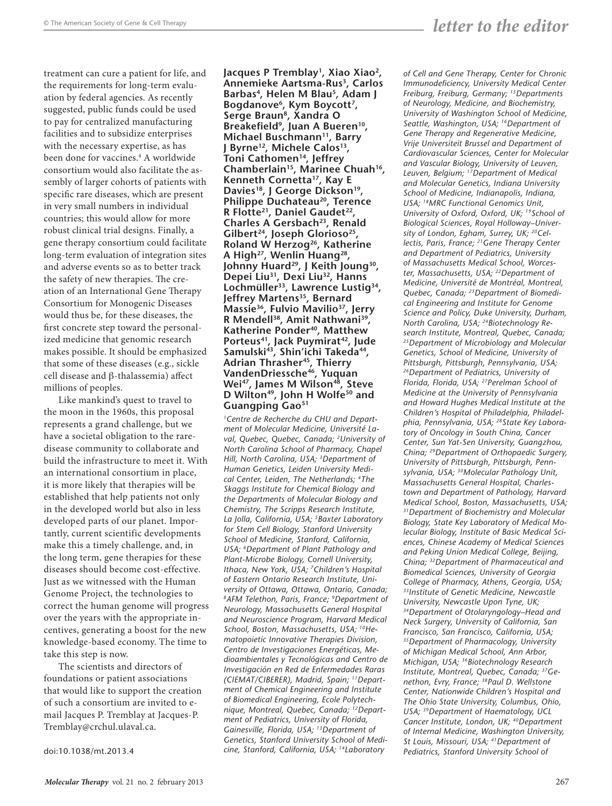treatment can cure a patient for life, and the requirements for long-term evaluation by federal agencies. As recently suggested, public funds could be used to pay for centralized manufacturing facilities and to subsidize enterprises with the necessary expertise, as has been done for vaccines.4 A worldwide consortium would also facilitate the assembly of larger cohorts of patients with specific rare diseases, which are present in very small numbers in individual countries; this would allow for more robust clinical trial designs. Finally, a gene therapy consortium could facilitate long-term evaluation of integration sites and adverse events so as to better track the safety of new therapies. The creation of an International Gene Therapy Consortium for Monogenic Diseases would thus be, for these diseases, the first concrete step toward the personalized medicine that genomic research makes possible. It should be emphasized that some of these diseases (e.g., sickle cell disease and  $\beta$ -thalassemia) affect millions of peoples.

Like mankind's quest to travel to the moon in the 1960s, this proposal represents a grand challenge, but we have a societal obligation to the raredisease community to collaborate and build the infrastructure to meet it. With an international consortium in place, it is more likely that therapies will be established that help patients not only in the developed world but also in less developed parts of our planet. Importantly, current scientific developments make this a timely challenge, and, in the long term, gene therapies for these diseases should become cost-effective. Just as we witnessed with the Human Genome Project, the technologies to correct the human genome will progress over the years with the appropriate incentives, generating a boost for the new knowledge-based economy. The time to take this step is now.

The scientists and directors of foundations or patient associations that would like to support the creation of such a consortium are invited to email Jacques P. Tremblay at [Jacques-P.](mailto:Jacques-P.Tremblay@crchul.ulaval.ca) [Tremblay@crchul.ulaval.ca](mailto:Jacques-P.Tremblay@crchul.ulaval.ca).

[doi:10.1038/mt.2013.4](http://www.nature.com/doifinder/10.1038/mt.2013.4)

**Jacques P Tremblay1, Xiao Xiao2, Annemieke Aartsma-Rus3, Carlos Barbas4, Helen M Blau5, Adam J Bogdanove6, Kym Boycott7, Serge Braun8, Xandra O Breakefield9, Juan A Bueren10, Michael Buschmann11, Barry J Byrne12, Michele Calos13, Toni Cathomen14, Jeffrey Chamberlain15, Marinee Chuah16, Kenneth Cornetta17, Kay E**  Davies<sup>18</sup>, J George Dickson<sup>19</sup>, **Philippe Duchateau<sup>20</sup>, Terence R Flotte21, Daniel Gaudet22, Charles A Gersbach<sup>23</sup>, Renald Gilbert24, Joseph Glorioso25, Roland W Herzog26, Katherine A High27, Wenlin Huang28, Johnny Huard29, J Keith Joung30, Depei Liu31, Dexi Liu32, Hanns Lochmüller33, Lawrence Lustig34, Jeffrey Martens35, Bernard Massie36, Fulvio Mavilio37, Jerry R Mendell38, Amit Nathwani39, Katherine Ponder40, Matthew**  Porteus<sup>41</sup>, Jack Puymirat<sup>42</sup>, Jude **Samulski43, Shin'ichi Takeda44, Adrian Thrasher45, Thierry VandenDriessche46, Yuquan**  Wei<sup>47</sup>, James M Wilson<sup>48</sup>, Steve **D Wilton49, John H Wolfe50 and Guangping Gao51**

*1Centre de Recherche du CHU and Department of Molecular Medicine, Université Laval, Quebec, Quebec, Canada; 2University of North Carolina School of Pharmacy, Chapel Hill, North Carolina, USA; 3Department of Human Genetics, Leiden University Medical Center, Leiden, The Netherlands; 4The Skaggs Institute for Chemical Biology and the Departments of Molecular Biology and Chemistry, The Scripps Research Institute, La Jolla, California, USA; 5Baxter Laboratory for Stem Cell Biology, Stanford University School of Medicine, Stanford, California, USA; 6Department of Plant Pathology and Plant-Microbe Biology, Cornell University, Ithaca, New York, USA; 7Children's Hospital of Eastern Ontario Research Institute, University of Ottawa, Ottawa, Ontario, Canada; 8AFM Telethon, Paris, France; 9Department of Neurology, Massachusetts General Hospital and Neuroscience Program, Harvard Medical School, Boston, Massachusetts, USA; 10Hematopoietic Innovative Therapies Division, Centro de Investigaciones Energéticas, Medioambientales y Tecnológicas and Centro de Investigación en Red de Enfermedades Raras (CIEMAT/CIBERER), Madrid, Spain; 11Department of Chemical Engineering and Institute of Biomedical Engineering, Ecole Polytechnique, Montreal, Quebec, Canada; 12Department of Pediatrics, University of Florida, Gainesville, Florida, USA; 13Department of Genetics, Stanford University School of Medicine, Stanford, California, USA; 14Laboratory* 

*of Cell and Gene Therapy, Center for Chronic Immunodeficiency, University Medical Center Freiburg, Freiburg, Germany; 15Departments of Neurology, Medicine, and Biochemistry, University of Washington School of Medicine, Seattle, Washington, USA; 16Department of Gene Therapy and Regenerative Medicine, Vrije Universiteit Brussel and Department of Cardiovascular Sciences, Center for Molecular and Vascular Biology, University of Leuven, Leuven, Belgium; 17Department of Medical and Molecular Genetics, Indiana University School of Medicine, Indianapolis, Indiana, USA; 18MRC Functional Genomics Unit, University of Oxford, Oxford, UK; 19School of Biological Sciences, Royal Holloway–University of London, Egham, Surrey, UK; 20Cellectis, Paris, France; 21Gene Therapy Center and Department of Pediatrics, University of Massachusetts Medical School, Worcester, Massachusetts, USA; 22Department of Medicine, Université de Montréal, Montreal, Quebec, Canada; 23Department of Biomedical Engineering and Institute for Genome Science and Policy, Duke University, Durham, North Carolina, USA; 24Biotechnology Research Institute, Montreal, Quebec, Canada; 25Department of Microbiology and Molecular Genetics, School of Medicine, University of Pittsburgh, Pittsburgh, Pennsylvania, USA; 26Department of Pediatrics, University of Florida, Florida, USA; 27Perelman School of Medicine at the University of Pennsylvania and Howard Hughes Medical Institute at the Children's Hospital of Philadelphia, Philadelphia, Pennsylvania, USA; 28State Key Laboratory of Oncology in South China, Cancer Center, Sun Yat-Sen University, Guangzhou, China; 29Department of Orthopaedic Surgery, University of Pittsburgh, Pittsburgh, Pennsylvania, USA; 30Molecular Pathology Unit, Massachusetts General Hospital, Charlestown and Department of Pathology, Harvard Medical School, Boston, Massachusetts, USA; 31Department of Biochemistry and Molecular Biology, State Key Laboratory of Medical Molecular Biology, Institute of Basic Medical Sciences, Chinese Academy of Medical Sciences and Peking Union Medical College, Beijing, China; 32Department of Pharmaceutical and Biomedical Sciences, University of Georgia College of Pharmacy, Athens, Georgia, USA; 33Institute of Genetic Medicine, Newcastle University, Newcastle Upon Tyne, UK; 34Department of Otolaryngology–Head and Neck Surgery, University of California, San Francisco, San Francisco, California, USA; 35Department of Pharmacology, University of Michigan Medical School, Ann Arbor, Michigan, USA; 36Biotechnology Research Institute, Montreal, Quebec, Canada; 37Genethon, Evry, France; 38Paul D. Wellstone Center, Nationwide Children's Hospital and The Ohio State University, Columbus, Ohio, USA; 39Department of Haematology, UCL Cancer Institute, London, UK; 40Department of Internal Medicine, Washington University, St Louis, Missouri, USA; 41Department of Pediatrics, Stanford University School of*